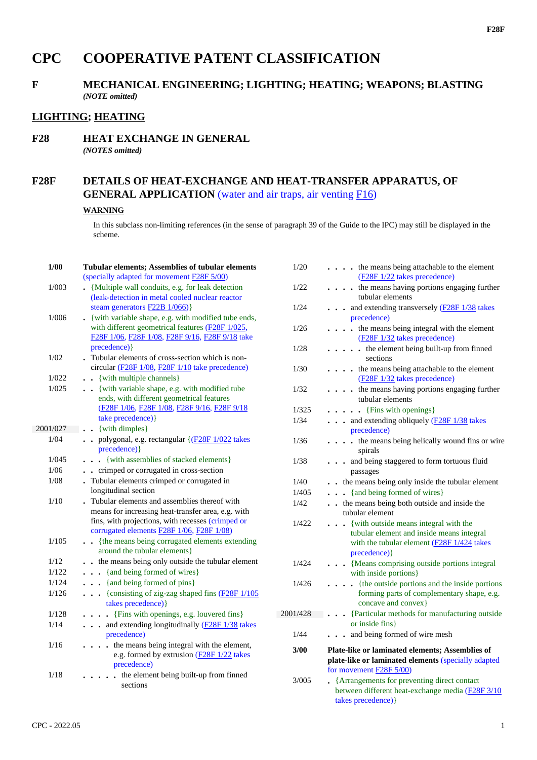# **CPC COOPERATIVE PATENT CLASSIFICATION**

# **F MECHANICAL ENGINEERING; LIGHTING; HEATING; WEAPONS; BLASTING** *(NOTE omitted)*

# **LIGHTING; HEATING**

#### **F28 HEAT EXCHANGE IN GENERAL** *(NOTES omitted)*

# **F28F DETAILS OF HEAT-EXCHANGE AND HEAT-TRANSFER APPARATUS, OF GENERAL APPLICATION** (water and air traps, air venting F16)

#### **WARNING**

In this subclass non-limiting references (in the sense of paragraph 39 of the Guide to the IPC) may still be displayed in the scheme.

| 1/00          | <b>Tubular elements; Assemblies of tubular elements</b>                                                  | 1/20     | . the means being attachable to the element                                                                               |
|---------------|----------------------------------------------------------------------------------------------------------|----------|---------------------------------------------------------------------------------------------------------------------------|
|               | (specially adapted for movement <b>F28F 5/00</b> )                                                       |          | (F28F 1/22 takes precedence)                                                                                              |
| 1/003         | • {Multiple wall conduits, e.g. for leak detection                                                       | 1/22     | . the means having portions engaging further                                                                              |
|               | (leak-detection in metal cooled nuclear reactor                                                          |          | tubular elements                                                                                                          |
|               | steam generators F22B 1/066)}                                                                            | 1/24     | . and extending transversely (F28F 1/38 takes                                                                             |
| 1/006         | . {with variable shape, e.g. with modified tube ends,                                                    |          | precedence)                                                                                                               |
|               | with different geometrical features (F28F 1/025,<br>F28F 1/06, F28F 1/08, F28F 9/16, F28F 9/18 take      | 1/26     | . the means being integral with the element<br>(F28F 1/32 takes precedence)                                               |
|               | precedence) }                                                                                            | 1/28     | $\ldots$ $\ldots$ the element being built-up from finned                                                                  |
| 1/02          | Tubular elements of cross-section which is non-                                                          |          | sections                                                                                                                  |
|               | circular (F28F 1/08, F28F 1/10 take precedence)                                                          | 1/30     | . the means being attachable to the element                                                                               |
| 1/022         | . . {with multiple channels}                                                                             |          | (F28F 1/32 takes precedence)                                                                                              |
| 1/025         | . . {with variable shape, e.g. with modified tube<br>ends, with different geometrical features           | 1/32     | . the means having portions engaging further<br>tubular elements                                                          |
|               | (F28F 1/06, F28F 1/08, F28F 9/16, F28F 9/18                                                              | 1/325    | $\ldots$ $\ldots$ {Fins with openings}                                                                                    |
|               | take precedence) }                                                                                       | 1/34     | . and extending obliquely (F28F 1/38 takes                                                                                |
| 2001/027      | {with dimples}<br>$\ddot{\phantom{0}}$                                                                   |          | precedence)                                                                                                               |
| 1/04          | . . polygonal, e.g. rectangular {(F28F 1/022 takes<br>precedence) }                                      | 1/36     | . the means being helically wound fins or wire<br>spirals                                                                 |
| 1/045         | . {with assemblies of stacked elements}                                                                  | 1/38     | . and being staggered to form tortuous fluid                                                                              |
| $1/06$        | . . crimped or corrugated in cross-section                                                               |          | passages                                                                                                                  |
| $1/08$        | . Tubular elements crimped or corrugated in                                                              | 1/40     | the means being only inside the tubular element                                                                           |
|               | longitudinal section                                                                                     | 1/405    | {and being formed of wires}                                                                                               |
| 1/10          | . Tubular elements and assemblies thereof with                                                           | 1/42     | the means being both outside and inside the                                                                               |
|               | means for increasing heat-transfer area, e.g. with                                                       |          | tubular element                                                                                                           |
|               | fins, with projections, with recesses (crimped or                                                        | 1/422    | . {with outside means integral with the                                                                                   |
|               | corrugated elements F28F 1/06, F28F 1/08)                                                                |          | tubular element and inside means integral                                                                                 |
| 1/105         | . {the means being corrugated elements extending<br>around the tubular elements}                         |          | with the tubular element $(F28F 1/424)$ takes                                                                             |
|               |                                                                                                          |          | precedence) }                                                                                                             |
| 1/12<br>1/122 | the means being only outside the tubular element                                                         | 1/424    | . {Means comprising outside portions integral                                                                             |
|               | {and being formed of wires}                                                                              |          | with inside portions}                                                                                                     |
| 1/124         | {and being formed of pins}                                                                               | 1/426    | . {the outside portions and the inside portions                                                                           |
| 1/126         | . {consisting of zig-zag shaped fins (F28F 1/105<br>takes precedence) }                                  |          | forming parts of complementary shape, e.g.<br>concave and convex}                                                         |
| 1/128         | . {Fins with openings, e.g. louvered fins}                                                               | 2001/428 | {Particular methods for manufacturing outside                                                                             |
| 1/14          | . and extending longitudinally (F28F 1/38 takes                                                          |          | or inside fins                                                                                                            |
|               | precedence)                                                                                              | 1/44     | . and being formed of wire mesh                                                                                           |
| 1/16          | . the means being integral with the element,<br>e.g. formed by extrusion (F28F 1/22 takes<br>precedence) | 3/00     | Plate-like or laminated elements; Assemblies of<br>plate-like or laminated elements (specially adapted                    |
| 1/18          | . the element being built-up from finned                                                                 |          | for movement $\underline{F28F}$ 5/00)                                                                                     |
|               | sections                                                                                                 | 3/005    | • {Arrangements for preventing direct contact<br>between different heat-exchange media (F28F 3/10)<br>takes precedence) } |
|               |                                                                                                          |          |                                                                                                                           |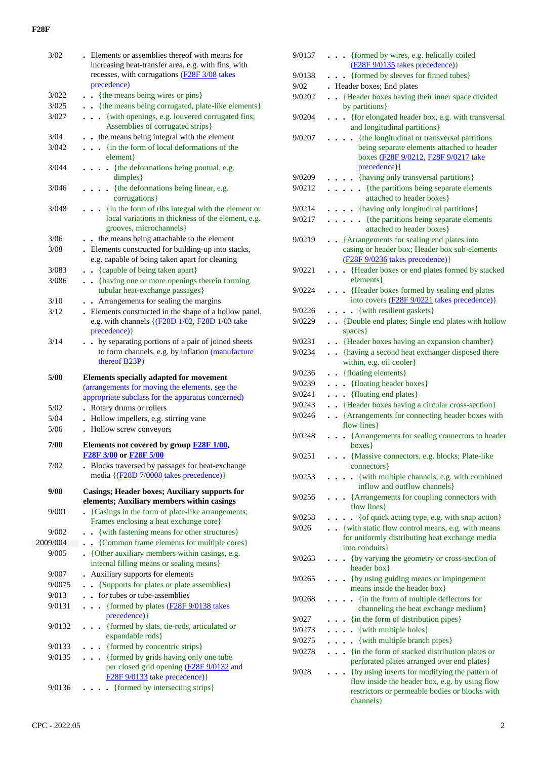|          | . Elements or assemblies thereof with means for                                                         |
|----------|---------------------------------------------------------------------------------------------------------|
|          | increasing heat-transfer area, e.g. with fins, with                                                     |
|          | recesses, with corrugations (F28F 3/08 takes                                                            |
|          | precedence)                                                                                             |
| 3/022    | {the means being wires or pins}                                                                         |
| 3/025    | . . {the means being corrugated, plate-like elements}                                                   |
| 3/027    | {with openings, e.g. louvered corrugated fins;                                                          |
|          | Assemblies of corrugated strips}                                                                        |
| 3/04     | . . the means being integral with the element                                                           |
| 3/042    | {in the form of local deformations of the                                                               |
|          | element }                                                                                               |
| 3/044    | {the deformations being pontual, e.g.<br>$\ddot{\phantom{0}}$<br>$dimples\}$                            |
| 3/046    | . {the deformations being linear, e.g.                                                                  |
|          | corrugations }                                                                                          |
| 3/048    | {in the form of ribs integral with the element or<br>local variations in thickness of the element, e.g. |
|          | grooves, microchannels}                                                                                 |
| 3/06     | the means being attachable to the element                                                               |
| 3/08     | . Elements constructed for building-up into stacks,<br>e.g. capable of being taken apart for cleaning   |
| 3/083    | {capable of being taken apart}<br>$\ddot{\phantom{0}}$                                                  |
| 3/086    | . {having one or more openings therein forming                                                          |
|          | tubular heat-exchange passages}                                                                         |
| 3/10     | Arrangements for sealing the margins                                                                    |
| 3/12     | . Elements constructed in the shape of a hollow panel,                                                  |
|          | e.g. with channels {(F28D 1/02, F28D 1/03 take<br>precedence) }                                         |
| 3/14     | by separating portions of a pair of joined sheets<br>$\ddot{\phantom{0}}$                               |
|          | to form channels, e.g. by inflation (manufacture                                                        |
|          | thereof B23P)                                                                                           |
|          | <b>Elements specially adapted for movement</b>                                                          |
| 5/00     |                                                                                                         |
|          | (arrangements for moving the elements, see the                                                          |
|          | appropriate subclass for the apparatus concerned)                                                       |
| 5/02     | . Rotary drums or rollers                                                                               |
| 5/04     |                                                                                                         |
| 5/06     | • Hollow impellers, e.g. stirring vane                                                                  |
|          | . Hollow screw conveyors                                                                                |
| 7/00     | Elements not covered by group <b>F28F 1/00</b> ,<br>F28F 3/00 or F28F 5/00                              |
| 7/02     | . Blocks traversed by passages for heat-exchange<br>media {(F28D 7/0008 takes precedence)}              |
|          |                                                                                                         |
| 9/00     | <b>Casings; Header boxes; Auxiliary supports for</b>                                                    |
|          | elements; Auxiliary members within casings                                                              |
| 9/001    | . {Casings in the form of plate-like arrangements;                                                      |
|          | Frames enclosing a heat exchange core}                                                                  |
| 9/002    | {with fastening means for other structures}                                                             |
| 2009/004 | • {Common frame elements for multiple cores}                                                            |
| 9/005    | • {Other auxiliary members within casings, e.g.<br>internal filling means or sealing means}             |
| 9/007    | Auxiliary supports for elements                                                                         |
| 9/0075   | {Supports for plates or plate assemblies}<br>$\ddot{\phantom{0}}$                                       |
| 9/013    | for tubes or tube-assemblies<br>$\ddot{\phantom{a}}$                                                    |
| 9/0131   | {formed by plates (F28F 9/0138 takes<br>$\ddot{\phantom{a}}$<br>$\ddot{\phantom{0}}$                    |
| 9/0132   | precedence) }<br>{formed by slats, tie-rods, articulated or<br>$\ddot{\phantom{1}}$                     |
|          | expandable rods}                                                                                        |
| 9/0133   | {formed by concentric strips}                                                                           |
| 9/0135   | {formed by grids having only one tube<br>per closed grid opening (F28F 9/0132 and                       |
| 9/0136   | F28F 9/0133 take precedence) }<br>{formed by intersecting strips}                                       |

| 9/0137 | {formed by wires, e.g. helically coiled                                                                                                            |
|--------|----------------------------------------------------------------------------------------------------------------------------------------------------|
|        | $(F28F 9/0135$ takes precedence)}                                                                                                                  |
| 9/0138 | . {formed by sleeves for finned tubes}                                                                                                             |
| 9/02   | Header boxes; End plates<br>$\ddot{\phantom{0}}$                                                                                                   |
| 9/0202 | {Header boxes having their inner space divided<br>$\ddot{\phantom{a}}$<br>by partitions }                                                          |
| 9/0204 | . {for elongated header box, e.g. with transversal<br>and longitudinal partitions}                                                                 |
| 9/0207 | {the longitudinal or transversal partitions<br>being separate elements attached to header<br>boxes (F28F 9/0212, F28F 9/0217 take<br>precedence) } |
| 9/0209 | • {having only transversal partitions}                                                                                                             |
| 9/0212 | {the partitions being separate elements<br>$\ddot{\phantom{0}}$<br>attached to header boxes}                                                       |
| 9/0214 | . {having only longitudinal partitions}                                                                                                            |
| 9/0217 | • {the partitions being separate elements<br>attached to header boxes}                                                                             |
| 9/0219 | • {Arrangements for sealing end plates into<br>casing or header box; Header box sub-elements<br>(F28F 9/0236 takes precedence)}                    |
| 9/0221 | . {Header boxes or end plates formed by stacked<br>elements }                                                                                      |
| 9/0224 | {Header boxes formed by sealing end plates<br>into covers (F28F 9/0221 takes precedence)}                                                          |
| 9/0226 | {with resilient gaskets}<br>$\ddot{\phantom{0}}$                                                                                                   |
| 9/0229 | • {Double end plates; Single end plates with hollow<br>spaces }                                                                                    |
| 9/0231 | • {Header boxes having an expansion chamber}                                                                                                       |
| 9/0234 | {having a second heat exchanger disposed there<br>$\ddot{\phantom{0}}$<br>within, e.g. oil cooler}                                                 |
| 9/0236 | {floating elements}<br>$\ddot{\phantom{0}}$                                                                                                        |
| 9/0239 | . {floating header boxes}                                                                                                                          |
| 9/0241 | . {floating end plates}<br>$\ddot{\phantom{0}}$                                                                                                    |
| 9/0243 | • {Header boxes having a circular cross-section}                                                                                                   |
| 9/0246 | • • {Arrangements for connecting header boxes with<br>flow lines                                                                                   |
| 9/0248 | {Arrangements for sealing connectors to header<br>$boxes$ }                                                                                        |
| 9/0251 | {Massive connectors, e.g. blocks; Plate-like<br>connectors }                                                                                       |
| 9/0253 | {with multiple channels, e.g. with combined<br>$\bullet$<br>inflow and outflow channels}                                                           |
| 9/0256 | • • {Arrangements for coupling connectors with<br>flow lines}                                                                                      |
| 9/0258 | {of quick acting type, e.g. with snap action}                                                                                                      |
| 9/026  | . {with static flow control means, e.g. with means<br>for uniformly distributing heat exchange media<br>into conduits}                             |
| 9/0263 | . {by varying the geometry or cross-section of<br>header box}                                                                                      |
| 9/0265 | . . {by using guiding means or impingement<br>means inside the header box }                                                                        |
| 9/0268 | • {in the form of multiple deflectors for<br>channeling the heat exchange medium}                                                                  |
| 9/027  | {in the form of distribution pipes}                                                                                                                |
| 9/0273 | • {with multiple holes}                                                                                                                            |
| 9/0275 | {with multiple branch pipes}<br>$\ddot{\phantom{0}}$                                                                                               |
| 9/0278 | {in the form of stacked distribution plates or                                                                                                     |
| 9/028  | perforated plates arranged over end plates}<br>{by using inserts for modifying the pattern of<br>flow inside the header box, e.g. by using flow    |
|        | restrictors or permeable bodies or blocks with<br>channels }                                                                                       |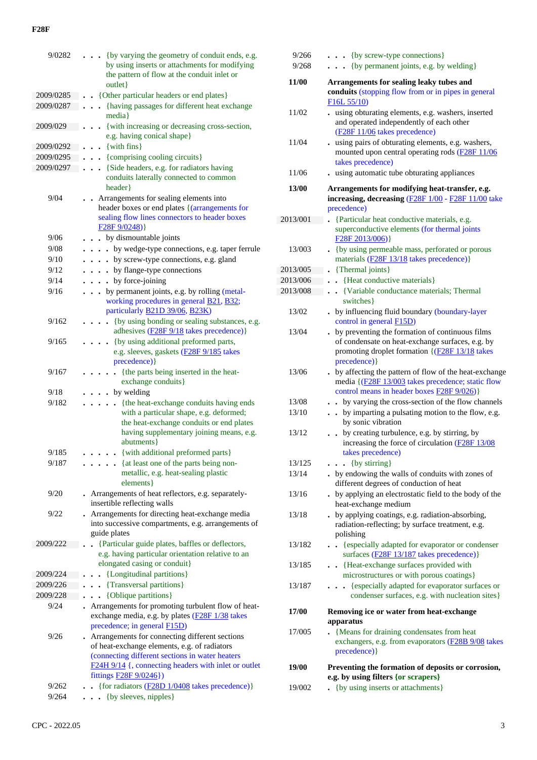| 9/0282    | {by varying the geometry of conduit ends, e.g.                                                          |
|-----------|---------------------------------------------------------------------------------------------------------|
|           | by using inserts or attachments for modifying                                                           |
|           | the pattern of flow at the conduit inlet or                                                             |
|           | outlet}                                                                                                 |
| 2009/0285 | {Other particular headers or end plates}                                                                |
| 2009/0287 | {having passages for different heat exchange                                                            |
|           | media }                                                                                                 |
| 2009/029  | {with increasing or decreasing cross-section,                                                           |
|           | e.g. having conical shape}                                                                              |
| 2009/0292 | $\{with fins\}$                                                                                         |
| 2009/0295 | {comprising cooling circuits}                                                                           |
| 2009/0297 | {Side headers, e.g. for radiators having<br>$\ddot{\phantom{0}}$                                        |
|           | conduits laterally connected to common                                                                  |
|           | header }                                                                                                |
| 9/04      | • Arrangements for sealing elements into<br>header boxes or end plates {(arrangements for               |
|           | sealing flow lines connectors to header boxes                                                           |
|           | F28F9/0248)                                                                                             |
| 9/06      | • by dismountable joints                                                                                |
| 9/08      | by wedge-type connections, e.g. taper ferrule<br>$\ddot{\phantom{a}}$<br>$\ddot{\phantom{1}}$           |
| 9/10      | . by screw-type connections, e.g. gland                                                                 |
| 9/12      | . by flange-type connections                                                                            |
| 9/14      | by force-joining                                                                                        |
| 9/16      | $\cdots$                                                                                                |
|           | by permanent joints, e.g. by rolling (metal-<br>working procedures in general <b>B21</b> , <b>B32</b> ; |
|           | particularly <b>B21D 39/06</b> , <b>B23K</b> )                                                          |
| 9/162     | {by using bonding or sealing substances, e.g.                                                           |
|           | adhesives ( <b>F28F</b> 9/18 takes precedence)}                                                         |
| 9/165     | • {by using additional preformed parts,                                                                 |
|           | e.g. sleeves, gaskets (F28F 9/185 takes                                                                 |
|           | precedence) }                                                                                           |
| 9/167     | {the parts being inserted in the heat-                                                                  |
|           | exchange conduits}                                                                                      |
| 9/18      | . by welding                                                                                            |
| 9/182     | {the heat-exchange conduits having ends<br>$\cdot$                                                      |
|           | with a particular shape, e.g. deformed;                                                                 |
|           | the heat-exchange conduits or end plates                                                                |
|           | having supplementary joining means, e.g.                                                                |
|           | abutments }                                                                                             |
| 9/185     | {with additional preformed parts}                                                                       |
| 9/187     | • {at least one of the parts being non-                                                                 |
|           | metallic, e.g. heat-sealing plastic                                                                     |
|           | elements }                                                                                              |
| 9/20      | - Arrangements of heat reflectors, e.g. separately-                                                     |
|           | insertible reflecting walls                                                                             |
| 9/22      | Arrangements for directing heat-exchange media                                                          |
|           | into successive compartments, e.g. arrangements of<br>guide plates                                      |
| 2009/222  |                                                                                                         |
|           | {Particular guide plates, baffles or deflectors,<br>e.g. having particular orientation relative to an   |
|           | elongated casing or conduit}                                                                            |
| 2009/224  | {Longitudinal partitions}                                                                               |
| 2009/226  | {Transversal partitions}                                                                                |
| 2009/228  | {Oblique partitions}<br>$\ddot{\phantom{0}}$                                                            |
| 9/24      | Arrangements for promoting turbulent flow of heat-<br>$\cdot$                                           |
|           | exchange media, e.g. by plates (F28F 1/38 takes                                                         |
|           | precedence; in general F15D)                                                                            |
| 9/26      | Arrangements for connecting different sections                                                          |
|           | of heat-exchange elements, e.g. of radiators                                                            |
|           | (connecting different sections in water heaters                                                         |
|           | F24H 9/14 {, connecting headers with inlet or outlet                                                    |
|           | fittings <b>F28F</b> 9/0246})                                                                           |
| 9/262     | {for radiators (F28D 1/0408 takes precedence)}                                                          |
| 9/264     | {by sleeves, nipples}                                                                                   |
|           |                                                                                                         |

| 9/266<br>9/268 | . {by screw-type connections}<br>. {by permanent joints, e.g. by welding}                                                                                                       |
|----------------|---------------------------------------------------------------------------------------------------------------------------------------------------------------------------------|
| 11/00          | Arrangements for sealing leaky tubes and<br>conduits (stopping flow from or in pipes in general<br>F16L55/10                                                                    |
| 11/02          | using obturating elements, e.g. washers, inserted<br>and operated independently of each other<br>(F28F 11/06 takes precedence)                                                  |
| 11/04          | using pairs of obturating elements, e.g. washers,<br>$\ddot{\phantom{0}}$<br>mounted upon central operating rods (F28F 11/06<br>takes precedence)                               |
| 11/06          | using automatic tube obturating appliances                                                                                                                                      |
| 13/00          | Arrangements for modifying heat-transfer, e.g.<br>increasing, decreasing (F28F 1/00 - F28F 11/00 take<br>precedence)                                                            |
| 2013/001       | {Particular heat conductive materials, e.g.<br>$\overline{a}$                                                                                                                   |
| 13/003         | superconductive elements (for thermal joints<br>F28F 2013/006)                                                                                                                  |
|                | • {by using permeable mass, perforated or porous<br>materials (F28F 13/18 takes precedence)}                                                                                    |
| 2013/005       | {Thermal joints}                                                                                                                                                                |
| 2013/006       | • {Heat conductive materials}                                                                                                                                                   |
| 2013/008       | • {Variable conductance materials; Thermal<br>switches }                                                                                                                        |
| 13/02          | by influencing fluid boundary (boundary-layer<br>control in general F15D)                                                                                                       |
| 13/04          | by preventing the formation of continuous films<br>of condensate on heat-exchange surfaces, e.g. by                                                                             |
| 13/06          | promoting droplet formation {(F28F 13/18 takes<br>precedence) }<br>. by affecting the pattern of flow of the heat-exchange<br>media {(F28F 13/003 takes precedence; static flow |
| 13/08          | control means in header boxes F28F 9/026)}<br>by varying the cross-section of the flow channels                                                                                 |
| 13/10          | by imparting a pulsating motion to the flow, e.g.<br>by sonic vibration                                                                                                         |
| 13/12          | by creating turbulence, e.g. by stirring, by<br>$\ddot{\phantom{a}}$<br>increasing the force of circulation (F28F 13/08<br>takes precedence)                                    |
| 13/125         | $\bullet \bullet$ {by stirring}                                                                                                                                                 |
| 13/14          | . by endowing the walls of conduits with zones of<br>different degrees of conduction of heat                                                                                    |
| 13/16          | by applying an electrostatic field to the body of the<br>heat-exchange medium                                                                                                   |
| 13/18          | . by applying coatings, e.g. radiation-absorbing,<br>radiation-reflecting; by surface treatment, e.g.<br>polishing                                                              |
| 13/182         | • {especially adapted for evaporator or condenser<br>surfaces (F28F 13/187 takes precedence)}                                                                                   |
| 13/185         | • {Heat-exchange surfaces provided with<br>microstructures or with porous coatings}                                                                                             |
| 13/187         | {especially adapted for evaporator surfaces or<br>.<br>condenser surfaces, e.g. with nucleation sites}                                                                          |
| 17/00          | Removing ice or water from heat-exchange<br>apparatus                                                                                                                           |
| 17/005         | • {Means for draining condensates from heat<br>exchangers, e.g. from evaporators (F28B 9/08 takes<br>precedence) }                                                              |
| 19/00          | Preventing the formation of deposits or corrosion,<br>e.g. by using filters {or scrapers}                                                                                       |
| 19/002         | {by using inserts or attachments}                                                                                                                                               |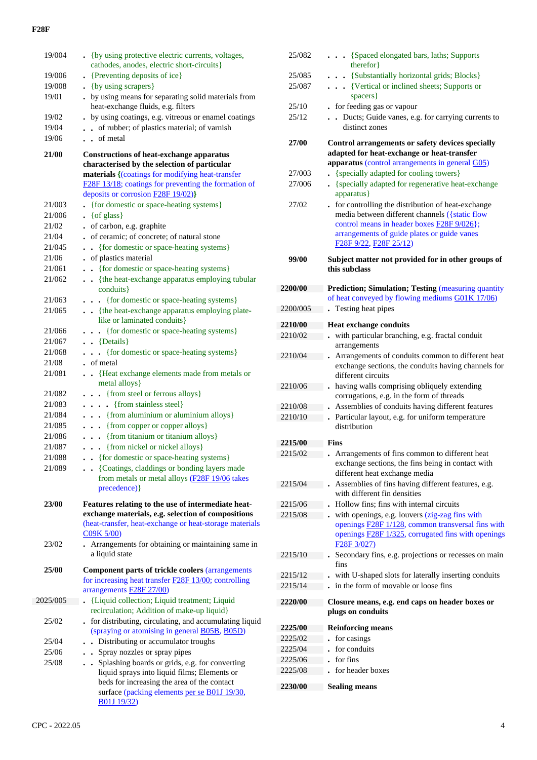| 19/004   | • {by using protective electric currents, voltages,                                                             |
|----------|-----------------------------------------------------------------------------------------------------------------|
|          | cathodes, anodes, electric short-circuits}                                                                      |
| 19/006   | • {Preventing deposits of ice}                                                                                  |
| 19/008   | . {by using scrapers}                                                                                           |
| 19/01    | . by using means for separating solid materials from<br>heat-exchange fluids, e.g. filters                      |
| 19/02    | by using coatings, e.g. vitreous or enamel coatings                                                             |
| 19/04    | • of rubber; of plastics material; of varnish                                                                   |
| 19/06    | . . of metal                                                                                                    |
| 21/00    | <b>Constructions of heat-exchange apparatus</b><br>characterised by the selection of particular                 |
|          | materials {(coatings for modifying heat-transfer                                                                |
|          | F28F 13/18; coatings for preventing the formation of                                                            |
|          | deposits or corrosion <b>F28F 19/02</b> )}                                                                      |
| 21/003   | {for domestic or space-heating systems}                                                                         |
| 21/006   | $\bullet$ {of glass}                                                                                            |
| 21/02    | of carbon, e.g. graphite                                                                                        |
| 21/04    | of ceramic; of concrete; of natural stone                                                                       |
| 21/045   | {for domestic or space-heating systems}<br>$\bullet$<br>$\bullet$                                               |
| 21/06    | of plastics material                                                                                            |
| 21/061   | {for domestic or space-heating systems}<br>$\ddot{\phantom{0}}$                                                 |
| 21/062   | • {the heat-exchange apparatus employing tubular<br>conduits}                                                   |
| 21/063   | {for domestic or space-heating systems}<br>$\ddot{\phantom{0}}$                                                 |
| 21/065   | . {the heat-exchange apparatus employing plate-<br>like or laminated conduits}                                  |
| 21/066   | . {for domestic or space-heating systems}                                                                       |
| 21/067   | $\bullet$ {Details}                                                                                             |
| 21/068   | • {for domestic or space-heating systems}                                                                       |
| 21/08    | . of metal                                                                                                      |
| 21/081   | {Heat exchange elements made from metals or<br>$\bullet$                                                        |
|          | metal alloys }                                                                                                  |
| 21/082   | {from steel or ferrous alloys}<br>$\bullet$<br>$\bullet$                                                        |
| 21/083   | . {from stainless steel}                                                                                        |
| 21/084   | . {from aluminium or aluminium alloys}                                                                          |
| 21/085   | . {from copper or copper alloys}                                                                                |
| 21/086   | . {from titanium or titanium alloys}                                                                            |
| 21/087   | . {from nickel or nickel alloys}                                                                                |
| 21/088   | - {for domestic or space-heating systems}                                                                       |
| 21/089   | • {Coatings, claddings or bonding layers made<br>from metals or metal alloys (F28F 19/06 takes<br>precedence) } |
| 23/00    | Features relating to the use of intermediate heat-                                                              |
|          | exchange materials, e.g. selection of compositions                                                              |
|          | (heat-transfer, heat-exchange or heat-storage materials<br>C09K 5/00)                                           |
| 23/02    | Arrangements for obtaining or maintaining same in<br>a liquid state                                             |
| 25/00    | <b>Component parts of trickle coolers (arrangements</b>                                                         |
|          | for increasing heat transfer <b>F28F 13/00</b> ; controlling                                                    |
|          | arrangements <b>F28F 27/00</b> )                                                                                |
| 2025/005 | {Liquid collection; Liquid treatment; Liquid                                                                    |
|          | recirculation; Addition of make-up liquid}                                                                      |
| 25/02    | . for distributing, circulating, and accumulating liquid<br>(spraying or atomising in general B05B, B05D)       |
| 25/04    | • Distributing or accumulator troughs                                                                           |
| 25/06    | • Spray nozzles or spray pipes                                                                                  |
| 25/08    | Splashing boards or grids, e.g. for converting<br>$\ddot{\phantom{0}}$                                          |
|          | liquid sprays into liquid films; Elements or                                                                    |
|          | beds for increasing the area of the contact                                                                     |
|          | surface (packing elements per se B01J 19/30,                                                                    |
|          | B01J 19/32)                                                                                                     |

| 25/082             | . {Spaced elongated bars, laths; Supports                                                      |
|--------------------|------------------------------------------------------------------------------------------------|
| 25/085             | therefor }                                                                                     |
| 25/087             | . {Substantially horizontal grids; Blocks}<br>{Vertical or inclined sheets; Supports or        |
|                    | spacers }                                                                                      |
| 25/10              | for feeding gas or vapour                                                                      |
| 25/12              | Ducts; Guide vanes, e.g. for carrying currents to                                              |
|                    | distinct zones                                                                                 |
| 27/00              | Control arrangements or safety devices specially<br>adapted for heat-exchange or heat-transfer |
|                    | apparatus (control arrangements in general G05)                                                |
| 27/003             | {specially adapted for cooling towers}                                                         |
| 27/006             | • {specially adapted for regenerative heat-exchange                                            |
| 27/02              | apparatus}<br>. for controlling the distribution of heat-exchange                              |
|                    | media between different channels ({static flow                                                 |
|                    | control means in header boxes <b>F28F</b> 9/026};                                              |
|                    | arrangements of guide plates or guide vanes                                                    |
|                    | F28F 9/22, F28F 25/12)                                                                         |
| 99/00              | Subject matter not provided for in other groups of                                             |
|                    | this subclass                                                                                  |
| 2200/00            | <b>Prediction; Simulation; Testing (measuring quantity)</b>                                    |
|                    | of heat conveyed by flowing mediums G01K 17/06)                                                |
| 2200/005           | Testing heat pipes                                                                             |
| 2210/00            | <b>Heat exchange conduits</b>                                                                  |
| 2210/02            | with particular branching, e.g. fractal conduit                                                |
|                    | arrangements                                                                                   |
| 2210/04            | Arrangements of conduits common to different heat                                              |
|                    | exchange sections, the conduits having channels for                                            |
|                    | different circuits                                                                             |
| 2210/06            | having walls comprising obliquely extending<br>corrugations, e.g. in the form of threads       |
| 2210/08            | Assemblies of conduits having different features                                               |
| 2210/10            | Particular layout, e.g. for uniform temperature                                                |
|                    | distribution                                                                                   |
| 2215/00            | <b>Fins</b>                                                                                    |
| 2215/02            | Arrangements of fins common to different heat                                                  |
|                    | exchange sections, the fins being in contact with                                              |
|                    | different heat exchange media                                                                  |
| 2215/04            | Assemblies of fins having different features, e.g.                                             |
|                    | with different fin densities                                                                   |
| 2215/06<br>2215/08 | Hollow fins; fins with internal circuits<br>with openings, e.g. louvers (zig-zag fins with     |
|                    | openings F28F 1/128, common transversal fins with                                              |
|                    | openings <b>F28F 1/325</b> , corrugated fins with openings                                     |
|                    | F <sub>28</sub> F <sub>3</sub> /027 <sup>)</sup>                                               |
| 2215/10            | Secondary fins, e.g. projections or recesses on main                                           |
|                    | fins                                                                                           |
| 2215/12            | with U-shaped slots for laterally inserting conduits                                           |
| 2215/14            | in the form of movable or loose fins                                                           |
| 2220/00            | Closure means, e.g. end caps on header boxes or                                                |
|                    | plugs on conduits                                                                              |
| 2225/00            | <b>Reinforcing means</b>                                                                       |
| 2225/02            | for casings                                                                                    |
| 2225/04            | for conduits                                                                                   |
| 2225/06            | for fins                                                                                       |
| 2225/08            | for header boxes                                                                               |
| 2230/00            | <b>Sealing means</b>                                                                           |